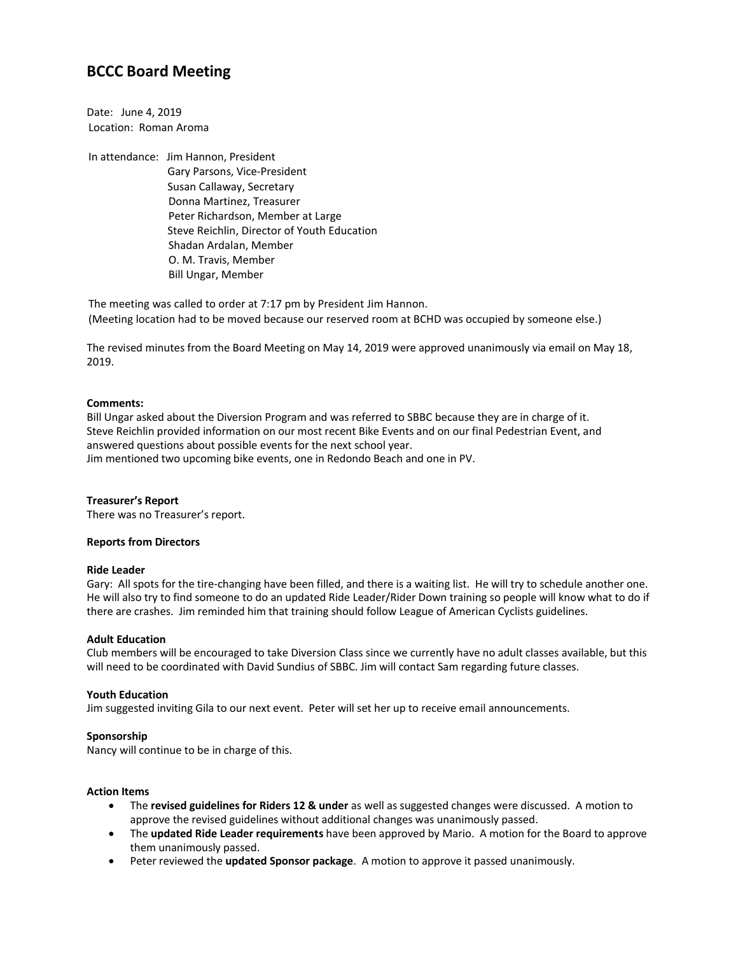# **BCCC Board Meeting**

Date: June 4, 2019 Location: Roman Aroma

In attendance: Jim Hannon, President

 Gary Parsons, Vice-President Susan Callaway, Secretary Donna Martinez, Treasurer Peter Richardson, Member at Large Steve Reichlin, Director of Youth Education Shadan Ardalan, Member O. M. Travis, Member Bill Ungar, Member

The meeting was called to order at 7:17 pm by President Jim Hannon. (Meeting location had to be moved because our reserved room at BCHD was occupied by someone else.)

The revised minutes from the Board Meeting on May 14, 2019 were approved unanimously via email on May 18, 2019.

#### **Comments:**

Bill Ungar asked about the Diversion Program and was referred to SBBC because they are in charge of it. Steve Reichlin provided information on our most recent Bike Events and on our final Pedestrian Event, and answered questions about possible events for the next school year. Jim mentioned two upcoming bike events, one in Redondo Beach and one in PV.

#### **Treasurer's Report**

There was no Treasurer's report.

#### **Reports from Directors**

#### **Ride Leader**

Gary: All spots for the tire-changing have been filled, and there is a waiting list. He will try to schedule another one. He will also try to find someone to do an updated Ride Leader/Rider Down training so people will know what to do if there are crashes. Jim reminded him that training should follow League of American Cyclists guidelines.

#### **Adult Education**

Club members will be encouraged to take Diversion Class since we currently have no adult classes available, but this will need to be coordinated with David Sundius of SBBC. Jim will contact Sam regarding future classes.

#### **Youth Education**

Jim suggested inviting Gila to our next event. Peter will set her up to receive email announcements.

#### **Sponsorship**

Nancy will continue to be in charge of this.

#### **Action Items**

- The **revised guidelines for Riders 12 & under** as well as suggested changes were discussed. A motion to approve the revised guidelines without additional changes was unanimously passed.
- The **updated Ride Leader requirements** have been approved by Mario. A motion for the Board to approve them unanimously passed.
- Peter reviewed the **updated Sponsor package**. A motion to approve it passed unanimously.